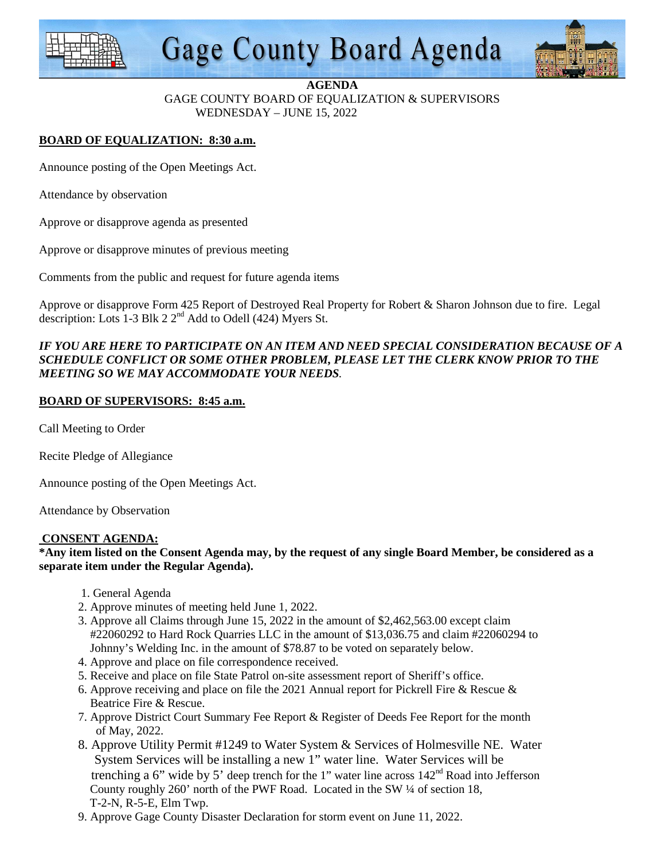

# **Gage County Board Agenda**



#### **AGENDA**

GAGE COUNTY BOARD OF EQUALIZATION & SUPERVISORS WEDNESDAY – JUNE 15, 2022

# **BOARD OF EQUALIZATION: 8:30 a.m.**

Announce posting of the Open Meetings Act.

Attendance by observation

Approve or disapprove agenda as presented

Approve or disapprove minutes of previous meeting

Comments from the public and request for future agenda items

Approve or disapprove Form 425 Report of Destroyed Real Property for Robert & Sharon Johnson due to fire. Legal description: Lots 1-3 Blk 2  $2<sup>nd</sup>$  Add to Odell (424) Myers St.

## *IF YOU ARE HERE TO PARTICIPATE ON AN ITEM AND NEED SPECIAL CONSIDERATION BECAUSE OF A SCHEDULE CONFLICT OR SOME OTHER PROBLEM, PLEASE LET THE CLERK KNOW PRIOR TO THE MEETING SO WE MAY ACCOMMODATE YOUR NEEDS.*

## **BOARD OF SUPERVISORS: 8:45 a.m.**

Call Meeting to Order

Recite Pledge of Allegiance

Announce posting of the Open Meetings Act.

Attendance by Observation

#### **CONSENT AGENDA:**

**\*Any item listed on the Consent Agenda may, by the request of any single Board Member, be considered as a separate item under the Regular Agenda).** 

- 1. General Agenda
- 2. Approve minutes of meeting held June 1, 2022.
- 3. Approve all Claims through June 15, 2022 in the amount of \$2,462,563.00 except claim #22060292 to Hard Rock Quarries LLC in the amount of \$13,036.75 and claim #22060294 to Johnny's Welding Inc. in the amount of \$78.87 to be voted on separately below.
- 4. Approve and place on file correspondence received.
- 5. Receive and place on file State Patrol on-site assessment report of Sheriff's office.
- 6. Approve receiving and place on file the 2021 Annual report for Pickrell Fire & Rescue & Beatrice Fire & Rescue.
- 7. Approve District Court Summary Fee Report & Register of Deeds Fee Report for the month of May, 2022.
- 8. Approve Utility Permit #1249 to Water System & Services of Holmesville NE. Water System Services will be installing a new 1" water line. Water Services will be trenching a 6" wide by 5" deep trench for the 1" water line across  $142<sup>nd</sup>$  Road into Jefferson County roughly 260' north of the PWF Road. Located in the SW ¼ of section 18, T-2-N, R-5-E, Elm Twp.
- 9. Approve Gage County Disaster Declaration for storm event on June 11, 2022.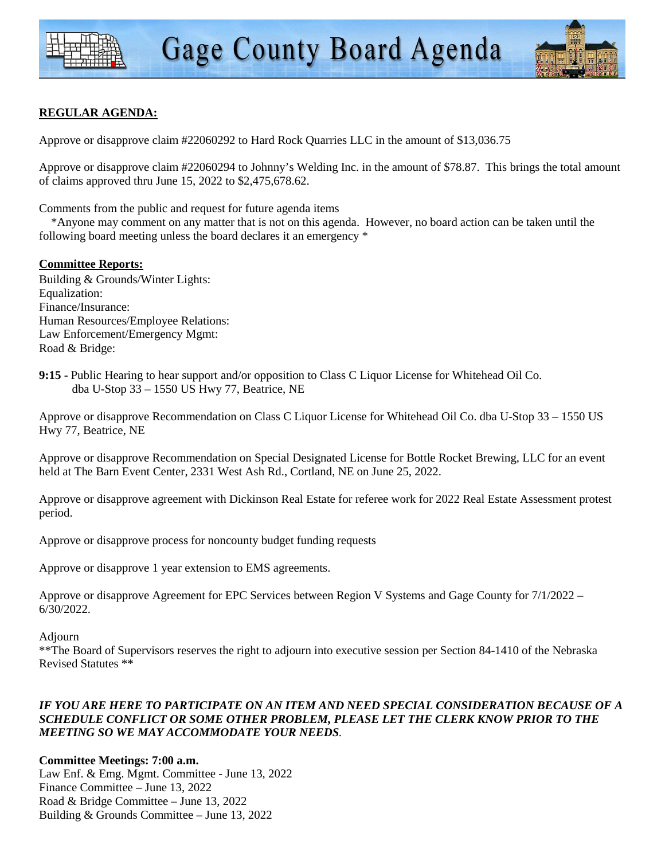

# **REGULAR AGENDA:**

Approve or disapprove claim #22060292 to Hard Rock Quarries LLC in the amount of \$13,036.75

Approve or disapprove claim #22060294 to Johnny's Welding Inc. in the amount of \$78.87. This brings the total amount of claims approved thru June 15, 2022 to \$2,475,678.62.

Comments from the public and request for future agenda items

 \*Anyone may comment on any matter that is not on this agenda. However, no board action can be taken until the following board meeting unless the board declares it an emergency \*

## **Committee Reports:**

Building & Grounds/Winter Lights: Equalization: Finance/Insurance: Human Resources/Employee Relations: Law Enforcement/Emergency Mgmt: Road & Bridge:

**9:15** - Public Hearing to hear support and/or opposition to Class C Liquor License for Whitehead Oil Co. dba U-Stop 33 – 1550 US Hwy 77, Beatrice, NE

Approve or disapprove Recommendation on Class C Liquor License for Whitehead Oil Co. dba U-Stop 33 – 1550 US Hwy 77, Beatrice, NE

Approve or disapprove Recommendation on Special Designated License for Bottle Rocket Brewing, LLC for an event held at The Barn Event Center, 2331 West Ash Rd., Cortland, NE on June 25, 2022.

Approve or disapprove agreement with Dickinson Real Estate for referee work for 2022 Real Estate Assessment protest period.

Approve or disapprove process for noncounty budget funding requests

Approve or disapprove 1 year extension to EMS agreements.

Approve or disapprove Agreement for EPC Services between Region V Systems and Gage County for 7/1/2022 – 6/30/2022.

Adjourn

\*\*The Board of Supervisors reserves the right to adjourn into executive session per Section 84-1410 of the Nebraska Revised Statutes \*\*

#### *IF YOU ARE HERE TO PARTICIPATE ON AN ITEM AND NEED SPECIAL CONSIDERATION BECAUSE OF A SCHEDULE CONFLICT OR SOME OTHER PROBLEM, PLEASE LET THE CLERK KNOW PRIOR TO THE MEETING SO WE MAY ACCOMMODATE YOUR NEEDS.*

**Committee Meetings: 7:00 a.m.**  Law Enf. & Emg. Mgmt. Committee - June 13, 2022 Finance Committee – June 13, 2022 Road & Bridge Committee – June 13, 2022 Building & Grounds Committee – June 13, 2022